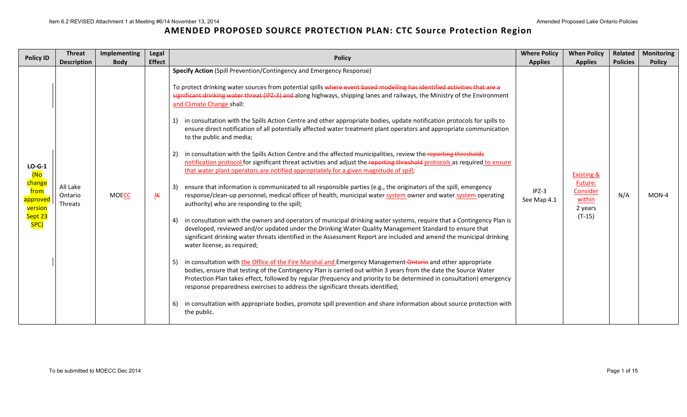| <b>Policy ID</b>                                                            | <b>Threat</b><br><b>Description</b> | Implementing<br><b>Body</b> | Legal<br><b>Effect</b> | <b>Policy</b>                                                                                                                                                                                                                                                                                                                                                                                                                                                                                                                                                                                                                                                                                                                                                                                                                                                                                                                                                                                                                                                                                                                                                                                                                                                                                                                                                                                                                                                                                                                                                                                                                                                                                                                                                                                                                                                                                                                                                                                                                                                                                                                                                                                                                                                                                       | <b>Where Policy</b><br><b>Applies</b> | <b>When Policy</b><br><b>Applies</b>                                          | Related<br><b>Policies</b> | <b>Monitoring</b><br><b>Policy</b> |
|-----------------------------------------------------------------------------|-------------------------------------|-----------------------------|------------------------|-----------------------------------------------------------------------------------------------------------------------------------------------------------------------------------------------------------------------------------------------------------------------------------------------------------------------------------------------------------------------------------------------------------------------------------------------------------------------------------------------------------------------------------------------------------------------------------------------------------------------------------------------------------------------------------------------------------------------------------------------------------------------------------------------------------------------------------------------------------------------------------------------------------------------------------------------------------------------------------------------------------------------------------------------------------------------------------------------------------------------------------------------------------------------------------------------------------------------------------------------------------------------------------------------------------------------------------------------------------------------------------------------------------------------------------------------------------------------------------------------------------------------------------------------------------------------------------------------------------------------------------------------------------------------------------------------------------------------------------------------------------------------------------------------------------------------------------------------------------------------------------------------------------------------------------------------------------------------------------------------------------------------------------------------------------------------------------------------------------------------------------------------------------------------------------------------------------------------------------------------------------------------------------------------------|---------------------------------------|-------------------------------------------------------------------------------|----------------------------|------------------------------------|
| $LO-G-1$<br>(No<br>change<br>from<br>approved<br>version<br>Sept 23<br>SPC) | All Lake<br>Ontario<br>Threats      | <b>MOECC</b>                | JK                     | Specify Action (Spill Prevention/Contingency and Emergency Response)<br>To protect drinking water sources from potential spills where event based modelling has identified activities that are a<br>significant drinking water threat (IPZ-3) and along highways, shipping lanes and railways, the Ministry of the Environment<br>and Climate Change shall:<br>in consultation with the Spills Action Centre and other appropriate bodies, update notification protocols for spills to<br>ensure direct notification of all potentially affected water treatment plant operators and appropriate communication<br>to the public and media;<br>in consultation with the Spills Action Centre and the affected municipalities, review the reporting thresholds<br>2)<br>notification protocol for significant threat activities and adjust the reporting threshold protocols as required to ensure<br>that water plant operators are notified appropriately for a given magnitude of spill;<br>ensure that information is communicated to all responsible parties (e.g., the originators of the spill, emergency<br>$\mathbf{3}^{\prime}$<br>response/clean-up personnel, medical officer of health, municipal water system owner and water system operating<br>authority) who are responding to the spill;<br>in consultation with the owners and operators of municipal drinking water systems, require that a Contingency Plan is<br>4)<br>developed, reviewed and/or updated under the Drinking Water Quality Management Standard to ensure that<br>significant drinking water threats identified in the Assessment Report are included and amend the municipal drinking<br>water license, as required;<br>in consultation with the Office of the Fire Marshal and Emergency Management-Ontario and other appropriate<br>bodies, ensure that testing of the Contingency Plan is carried out within 3 years from the date the Source Water<br>Protection Plan takes effect, followed by regular (frequency and priority to be determined in consultation) emergency<br>response preparedness exercises to address the significant threats identified;<br>in consultation with appropriate bodies, promote spill prevention and share information about source protection with<br>6)<br>the public. | $IPZ-3$<br>See Map 4.1                | <b>Existing &amp;</b><br>Future:<br>Consider<br>within<br>2 years<br>$(T-15)$ | N/A                        | MON-4                              |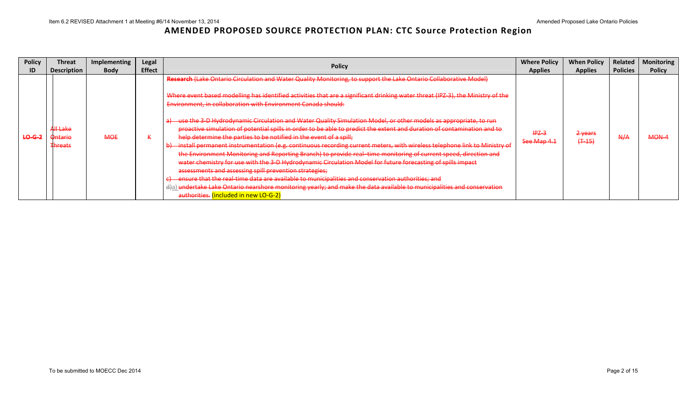| <b>Policy</b>     | Threat                                                          | Implementing | Legal                | <b>Policy</b>                                                                                                                                                                                                                                                                                                                                                                                                                                                                                                                                                                                                                                                                                                                                                                                                                                                                                                                                                                                                                                                                                                                                                                                                                                                                                                                                                | <b>Where Policy</b>    | <b>When Policy</b>              | Related         | <b>Monitoring</b> |
|-------------------|-----------------------------------------------------------------|--------------|----------------------|--------------------------------------------------------------------------------------------------------------------------------------------------------------------------------------------------------------------------------------------------------------------------------------------------------------------------------------------------------------------------------------------------------------------------------------------------------------------------------------------------------------------------------------------------------------------------------------------------------------------------------------------------------------------------------------------------------------------------------------------------------------------------------------------------------------------------------------------------------------------------------------------------------------------------------------------------------------------------------------------------------------------------------------------------------------------------------------------------------------------------------------------------------------------------------------------------------------------------------------------------------------------------------------------------------------------------------------------------------------|------------------------|---------------------------------|-----------------|-------------------|
|                   | <b>Description</b>                                              | <b>Body</b>  | <b>Effect</b>        |                                                                                                                                                                                                                                                                                                                                                                                                                                                                                                                                                                                                                                                                                                                                                                                                                                                                                                                                                                                                                                                                                                                                                                                                                                                                                                                                                              | <b>Applies</b>         | <b>Applies</b>                  | <b>Policies</b> | <b>Policy</b>     |
| <del>LO G 2</del> | <del>All Lake</del><br><del>Ontario</del><br><del>Threats</del> | <b>MOE</b>   | $\ddot{\phantom{1}}$ | Research (Lake Ontario Circulation and Water Quality Monitoring, to support the Lake Ontario Collaborative Model)<br>Where event based modelling has identified activities that are a significant drinking water threat (IPZ-3), the Ministry of the<br>Environment, in collaboration with Environment Canada should:<br>use the 3-D Hydrodynamic Circulation and Water Quality Simulation Model, or other models as appropriate, to run<br>proactive simulation of potential spills in order to be able to predict the extent and duration of contamination and to<br>help determine the parties to be notified in the event of a spill;<br>install permanent instrumentation (e.g. continuous recording current meters, with wireless telephone link to Ministry of<br>$\overline{H}$<br>the Environment Monitoring and Reporting Branch) to provide real-time monitoring of current speed, direction and<br>water chemistry for use with the 3-D Hydrodynamic Circulation Model for future forecasting of spills impact<br>assessments and assessing spill prevention strategies;<br>ensure that the real-time data are available to municipalities and conservation authorities; and<br>d)a) undertake Lake Ontario nearshore monitoring yearly; and make the data available to municipalities and conservation<br>authorities. (included in new LO-G-2) | $IPZ-3$<br>See Map 4.1 | <del>2 years</del><br>$(+ -15)$ | A/H             | <b>MON-</b>       |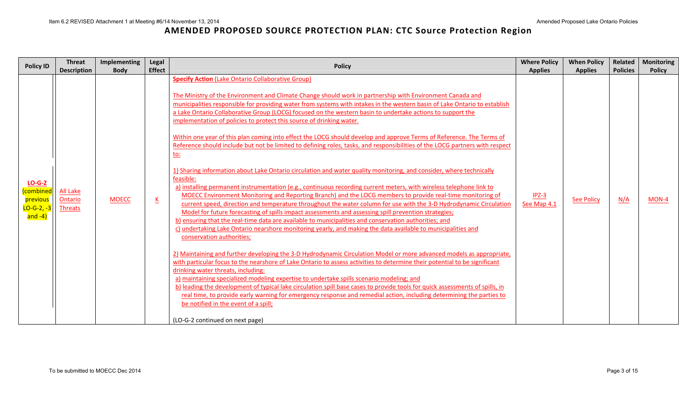| <b>Policy ID</b>                                                         | <b>Threat</b>                                | Implementing | Legal                    | <b>Policy</b>                                                                                                                                                                                                                                                                                                                                                                                                                                                                                                                                                                                                                                                                                                                                                                                                                                                                                                                                                                                                                                                                                                                                                                                                                                                                                                                                                                                                                                                                                                                                                                                                                                                                                                                                                                                                                                                                                                                                                                                                                                                                                                                                                                                                                                                                                                                                           | <b>Where Policy</b>    | <b>When Policy</b> | Related         | <b>Monitoring</b> |
|--------------------------------------------------------------------------|----------------------------------------------|--------------|--------------------------|---------------------------------------------------------------------------------------------------------------------------------------------------------------------------------------------------------------------------------------------------------------------------------------------------------------------------------------------------------------------------------------------------------------------------------------------------------------------------------------------------------------------------------------------------------------------------------------------------------------------------------------------------------------------------------------------------------------------------------------------------------------------------------------------------------------------------------------------------------------------------------------------------------------------------------------------------------------------------------------------------------------------------------------------------------------------------------------------------------------------------------------------------------------------------------------------------------------------------------------------------------------------------------------------------------------------------------------------------------------------------------------------------------------------------------------------------------------------------------------------------------------------------------------------------------------------------------------------------------------------------------------------------------------------------------------------------------------------------------------------------------------------------------------------------------------------------------------------------------------------------------------------------------------------------------------------------------------------------------------------------------------------------------------------------------------------------------------------------------------------------------------------------------------------------------------------------------------------------------------------------------------------------------------------------------------------------------------------------------|------------------------|--------------------|-----------------|-------------------|
|                                                                          | <b>Description</b>                           | <b>Body</b>  | <b>Effect</b>            |                                                                                                                                                                                                                                                                                                                                                                                                                                                                                                                                                                                                                                                                                                                                                                                                                                                                                                                                                                                                                                                                                                                                                                                                                                                                                                                                                                                                                                                                                                                                                                                                                                                                                                                                                                                                                                                                                                                                                                                                                                                                                                                                                                                                                                                                                                                                                         | <b>Applies</b>         | <b>Applies</b>     | <b>Policies</b> | <b>Policy</b>     |
| $LO-G-2$<br>combined<br>previous<br><mark>LO-G-2, -3</mark>  <br>and -4) | <b>All Lake</b><br>Ontario<br><b>Threats</b> | <b>MOECC</b> | $\underline{\mathsf{K}}$ | <b>Specify Action (Lake Ontario Collaborative Group)</b><br>The Ministry of the Environment and Climate Change should work in partnership with Environment Canada and<br>municipalities responsible for providing water from systems with intakes in the western basin of Lake Ontario to establish<br>a Lake Ontario Collaborative Group (LOCG) focused on the western basin to undertake actions to support the<br>implementation of policies to protect this source of drinking water.<br>Within one year of this plan coming into effect the LOCG should develop and approve Terms of Reference. The Terms of<br>Reference should include but not be limited to defining roles, tasks, and responsibilities of the LOCG partners with respect<br><u>to:</u><br>1) Sharing information about Lake Ontario circulation and water quality monitoring, and consider, where technically<br>feasible:<br>a) installing permanent instrumentation (e.g., continuous recording current meters, with wireless telephone link to<br>MOECC Environment Monitoring and Reporting Branch) and the LOCG members to provide real-time monitoring of<br>current speed, direction and temperature throughout the water column for use with the 3-D Hydrodynamic Circulation<br>Model for future forecasting of spills impact assessments and assessing spill prevention strategies;<br>b) ensuring that the real-time data are available to municipalities and conservation authorities; and<br>c) undertaking Lake Ontario nearshore monitoring yearly, and making the data available to municipalities and<br>conservation authorities;<br>2) Maintaining and further developing the 3-D Hydrodynamic Circulation Model or more advanced models as appropriate,<br>with particular focus to the nearshore of Lake Ontario to assess activities to determine their potential to be significant<br>drinking water threats, including:<br>a) maintaining specialized modeling expertise to undertake spills scenario modeling; and<br>b) leading the development of typical lake circulation spill base cases to provide tools for quick assessments of spills, in<br>real time, to provide early warning for emergency response and remedial action, including determining the parties to<br>be notified in the event of a spill;<br>(LO-G-2 continued on next page) | $IPZ-3$<br>See Map 4.1 | <b>See Policy</b>  | N/A             | MON-4             |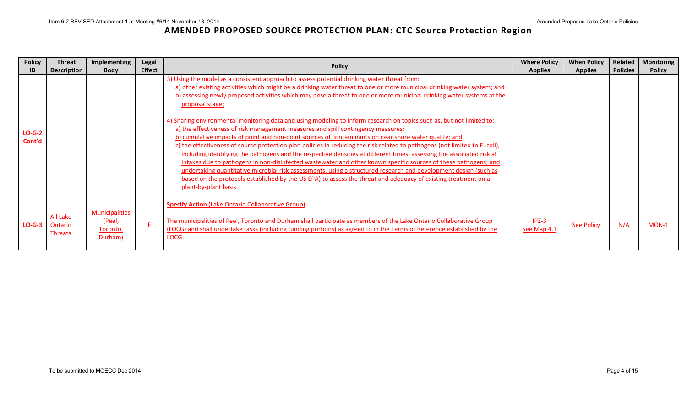| <b>Policy</b>      | Threat                                       | <b>Implementing</b>                                           | Legal         |                                                                                                                                                                                                                                                                                                                                                                                                                                                                                                                                                                                                                                                                                                                                                                                                                                                                                                                                                                                                                                                                                                                                                                                                                                                                                                                                    | <b>Where Policy</b>    | <b>When Policy</b> | Related         | <b>Monitoring</b> |
|--------------------|----------------------------------------------|---------------------------------------------------------------|---------------|------------------------------------------------------------------------------------------------------------------------------------------------------------------------------------------------------------------------------------------------------------------------------------------------------------------------------------------------------------------------------------------------------------------------------------------------------------------------------------------------------------------------------------------------------------------------------------------------------------------------------------------------------------------------------------------------------------------------------------------------------------------------------------------------------------------------------------------------------------------------------------------------------------------------------------------------------------------------------------------------------------------------------------------------------------------------------------------------------------------------------------------------------------------------------------------------------------------------------------------------------------------------------------------------------------------------------------|------------------------|--------------------|-----------------|-------------------|
|                    | <b>Description</b>                           | <b>Body</b>                                                   | <b>Effect</b> | <b>Policy</b>                                                                                                                                                                                                                                                                                                                                                                                                                                                                                                                                                                                                                                                                                                                                                                                                                                                                                                                                                                                                                                                                                                                                                                                                                                                                                                                      | <b>Applies</b>         | <b>Applies</b>     | <b>Policies</b> | <b>Policy</b>     |
| $LO-G-2$<br>Cont'd |                                              |                                                               |               | 3) Using the model as a consistent approach to assess potential drinking water threat from:<br>a) other existing activities which might be a drinking water threat to one or more municipal drinking water system; and<br>b) assessing newly proposed activities which may pose a threat to one or more municipal drinking water systems at the<br>proposal stage;<br>4) Sharing environmental monitoring data and using modeling to inform research on topics such as, but not limited to:<br>a) the effectiveness of risk management measures and spill contingency measures;<br>b) cumulative impacts of point and non-point sources of contaminants on near shore water quality; and<br>c) the effectiveness of source protection plan policies in reducing the risk related to pathogens (not limited to E. coli),<br>including identifying the pathogens and the respective densities at different times; assessing the associated risk at<br>intakes due to pathogens in non-disinfected wastewater and other known specific sources of these pathogens; and<br>undertaking quantitative microbial risk assessments, using a structured research and development design (such as<br>based on the protocols established by the US EPA) to assess the threat and adequacy of existing treatment on a<br>plant-by-plant basis. |                        |                    |                 |                   |
| $LO-G-3$           | <u>All Lake</u><br>Ontario<br><b>Threats</b> | <b>Municipalities</b><br><u>(Peel,</u><br>Toronto,<br>Durham) | E             | <b>Specify Action (Lake Ontario Collaborative Group)</b><br>The municipalities of Peel, Toronto and Durham shall participate as members of the Lake Ontario Collaborative Group<br>(LOCG) and shall undertake tasks (including funding portions) as agreed to in the Terms of Reference established by the<br>LOCG.                                                                                                                                                                                                                                                                                                                                                                                                                                                                                                                                                                                                                                                                                                                                                                                                                                                                                                                                                                                                                | $IPZ-3$<br>See Map 4.1 | <b>See Policy</b>  | N/A             | MON-1             |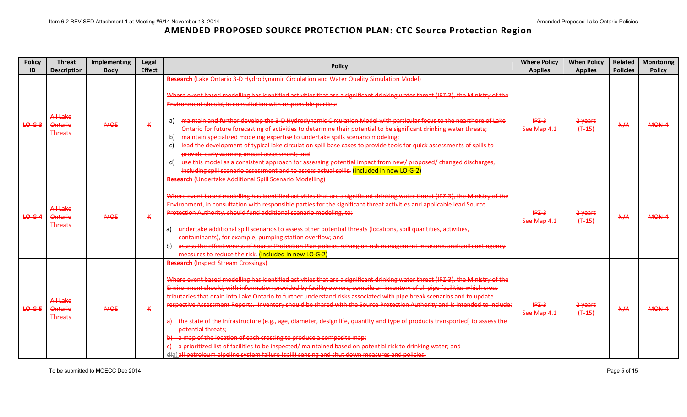| <b>Policy</b>     | <b>Threat</b>                                            | Implementing | Legal         | <b>Policy</b>                                                                                                                                                                                                                                                                                                                                                                                                                                                                                                                                                                                                                                                                                                                                                                                                                                                                                                                                                                                                             | <b>Where Policy</b>    | <b>When Policy</b>   | Related         | <b>Monitoring</b> |
|-------------------|----------------------------------------------------------|--------------|---------------|---------------------------------------------------------------------------------------------------------------------------------------------------------------------------------------------------------------------------------------------------------------------------------------------------------------------------------------------------------------------------------------------------------------------------------------------------------------------------------------------------------------------------------------------------------------------------------------------------------------------------------------------------------------------------------------------------------------------------------------------------------------------------------------------------------------------------------------------------------------------------------------------------------------------------------------------------------------------------------------------------------------------------|------------------------|----------------------|-----------------|-------------------|
| ID                | <b>Description</b>                                       | <b>Body</b>  | <b>Effect</b> |                                                                                                                                                                                                                                                                                                                                                                                                                                                                                                                                                                                                                                                                                                                                                                                                                                                                                                                                                                                                                           | <b>Applies</b>         | <b>Applies</b>       | <b>Policies</b> | <b>Policy</b>     |
| <del>LO G 3</del> |                                                          |              |               | Research (Lake Ontario 3-D Hydrodynamic Circulation and Water Quality Simulation Model)<br>Where event based modelling has identified activities that are a significant drinking water threat (IPZ-3), the Ministry of the<br>Environment should, in consultation with responsible parties:                                                                                                                                                                                                                                                                                                                                                                                                                                                                                                                                                                                                                                                                                                                               |                        |                      |                 |                   |
|                   | A <del>ll Lake</del><br><b>Ontario</b><br><b>Threats</b> | <b>MOE</b>   | $\kappa$      | maintain and further develop the 3-D Hydrodynamic Circulation Model with particular focus to the nearshore of Lake<br>a)<br>Ontario for future forecasting of activities to determine their potential to be significant drinking water threats;<br>maintain specialized modeling expertise to undertake spills scenario modeling;<br>b)<br>lead the development of typical lake circulation spill base cases to provide tools for quick assessments of spills to<br>c)<br>provide early warning impact assessment; and<br>use this model as a consistent approach for assessing potential impact from new/ proposed/ changed discharges,<br>d)<br>including spill scenario assessment and to assess actual spills. (included in new LO-G-2)                                                                                                                                                                                                                                                                               | $IPZ-3$<br>See Map 4.1 | 2 years<br>$(+ -15)$ | A/A             | MON-4             |
| <b>LO-G-4</b>     | All Lake<br>Ontario<br><b>Threats</b>                    | <b>MOE</b>   | K             | <b>Research (Undertake Additional Spill Scenario Modelling)</b><br>Where event based modelling has identified activities that are a significant drinking water threat (IPZ-3), the Ministry of the<br>Environment, in consultation with responsible parties for the significant threat activities and applicable lead Source<br>Protection Authority, should fund additional scenario modeling, to:<br>undertake additional spill scenarios to assess other potential threats (locations, spill quantities, activities,<br>a)<br>contaminants), for example, pumping station overflow; and<br>assess the effectiveness of Source Protection Plan policies relying on risk management measures and spill contingency<br>b)<br>measures to reduce the risk. (included in new LO-G-2)                                                                                                                                                                                                                                        | $IPZ-3$<br>See Map 4.1 | 2 years<br>$(+45)$   | A/A             | MON-4             |
| $LO-G-5$          | All Lake<br>Ontario<br><b>Threats</b>                    | <b>MOE</b>   | K             | <b>Research (Inspect Stream Crossings)</b><br>Where event based modelling has identified activities that are a significant drinking water threat (IPZ-3), the Ministry of the<br>Environment should, with information provided by facility owners, compile an inventory of all pipe facilities which cross<br>tributaries that drain into Lake Ontario to further understand risks associated with pipe break scenarios and to update<br>respective Assessment Reports. Inventory should be shared with the Source Protection Authority and is intended to include:<br>a) the state of the infrastructure (e.g., age, diameter, design life, quantity and type of products transported) to assess the<br>potential threats;<br>b) a map of the location of each crossing to produce a composite map;<br>e) a prioritized list of facilities to be inspected/ maintained based on potential risk to drinking water; and<br>d)a) all petroleum pipeline system failure (spill) sensing and shut down measures and policies. | $IPZ-3$<br>See Map 4.1 | 2 years<br>$(+ -15)$ | A/A             | MON-4             |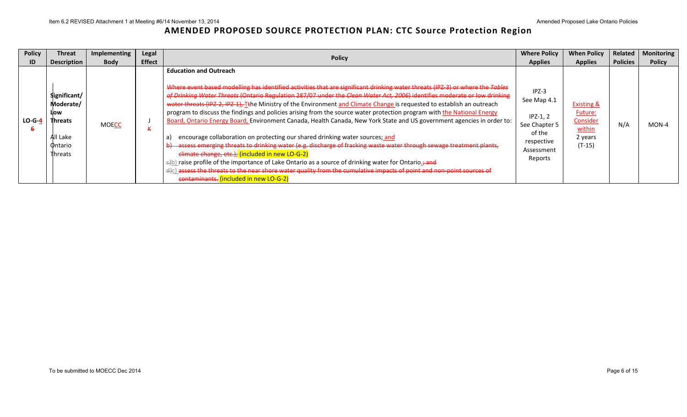| <b>Policy</b> | Threat                                                                                | <b>Implementing</b> | Legal         | <b>Policy</b>                                                                                                                                                                                                                                                                                                                                                                                                                                                                                                                                                                                                                                                                                                                                                                                                                                                                                                                                                                                                                                                                                                                                                                                                         | <b>Where Policy</b>                                                                                    | <b>When Policy</b>                                                                   | Related         | <b>Monitoring</b> |
|---------------|---------------------------------------------------------------------------------------|---------------------|---------------|-----------------------------------------------------------------------------------------------------------------------------------------------------------------------------------------------------------------------------------------------------------------------------------------------------------------------------------------------------------------------------------------------------------------------------------------------------------------------------------------------------------------------------------------------------------------------------------------------------------------------------------------------------------------------------------------------------------------------------------------------------------------------------------------------------------------------------------------------------------------------------------------------------------------------------------------------------------------------------------------------------------------------------------------------------------------------------------------------------------------------------------------------------------------------------------------------------------------------|--------------------------------------------------------------------------------------------------------|--------------------------------------------------------------------------------------|-----------------|-------------------|
| ID            | <b>Description</b>                                                                    | <b>Body</b>         | <b>Effect</b> |                                                                                                                                                                                                                                                                                                                                                                                                                                                                                                                                                                                                                                                                                                                                                                                                                                                                                                                                                                                                                                                                                                                                                                                                                       | <b>Applies</b>                                                                                         | <b>Applies</b>                                                                       | <b>Policies</b> | <b>Policy</b>     |
| $LO-G-4$      | Significant/<br>Moderate/<br>Llow<br><b>Threats</b><br>All Lake<br>Ontario<br>Threats | <b>MOECC</b>        |               | <b>Education and Outreach</b><br>Where event based modelling has identified activities that are significant drinking water threats (IPZ-3) or where the Tables<br>of Drinking Water Threats (Ontario Regulation 287/07 under the Clean Water Act, 2006) identifies moderate or low drinking<br>water threats (IPZ-2, IPZ-1), Tthe Ministry of the Environment and Climate Change is requested to establish an outreach<br>program to discuss the findings and policies arising from the source water protection program with the National Energy<br>Board, Ontario Energy Board, Environment Canada, Health Canada, New York State and US government agencies in order to:<br>encourage collaboration on protecting our shared drinking water sources; and<br>b) assess emerging threats to drinking water (e.g. discharge of fracking waste water through sewage treatment plants,<br>elimate change, etc.); (included in new LO-G-2)<br>$\epsilon$ b) raise profile of the importance of Lake Ontario as a source of drinking water for Ontario.<br>d)c) assess the threats to the near shore water quality from the cumulative impacts of point and non-point sources of<br>contaminants. (included in new LO-G-2) | $IPZ-3$<br>See Map 4.1<br>$IPZ-1, 2$<br>See Chapter 5<br>of the<br>respective<br>Assessment<br>Reports | <b>Existing &amp;</b><br><b>Future:</b><br>Consider<br>within<br>2 years<br>$(T-15)$ | N/A             | $MON-4$           |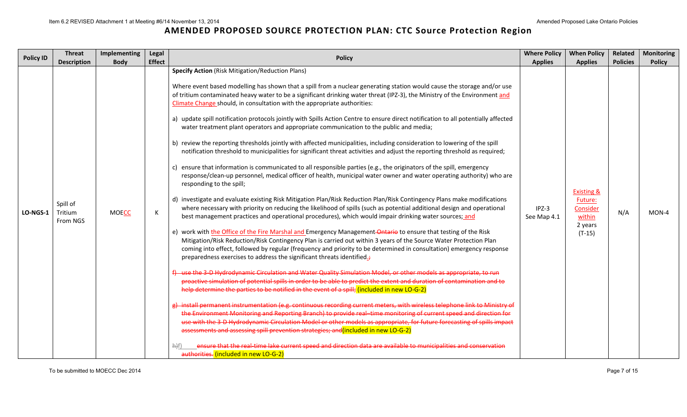| <b>Policy ID</b> | <b>Threat</b>                   | Implementing | Legal         | <b>Policy</b>                                                                                                                                                                                                                                                                                                                                                                                                                                                                                                                                                                                                                                                                                                                                                                                                                                                                                                                                                                                                                                                                                                                                                                                                                                                                                                                                                                                                                                                                                                                                                                                                                                                                                                                                                                                                                                                                                                                                                                                                                                                                                                                                                                                                                                                                                                                                                                                                                                                                                                                                                                                                                                                                                                                                                                                                                                                                                                                                                 | <b>Where Policy</b>    | <b>When Policy</b>                                                            | Related         | <b>Monitoring</b> |
|------------------|---------------------------------|--------------|---------------|---------------------------------------------------------------------------------------------------------------------------------------------------------------------------------------------------------------------------------------------------------------------------------------------------------------------------------------------------------------------------------------------------------------------------------------------------------------------------------------------------------------------------------------------------------------------------------------------------------------------------------------------------------------------------------------------------------------------------------------------------------------------------------------------------------------------------------------------------------------------------------------------------------------------------------------------------------------------------------------------------------------------------------------------------------------------------------------------------------------------------------------------------------------------------------------------------------------------------------------------------------------------------------------------------------------------------------------------------------------------------------------------------------------------------------------------------------------------------------------------------------------------------------------------------------------------------------------------------------------------------------------------------------------------------------------------------------------------------------------------------------------------------------------------------------------------------------------------------------------------------------------------------------------------------------------------------------------------------------------------------------------------------------------------------------------------------------------------------------------------------------------------------------------------------------------------------------------------------------------------------------------------------------------------------------------------------------------------------------------------------------------------------------------------------------------------------------------------------------------------------------------------------------------------------------------------------------------------------------------------------------------------------------------------------------------------------------------------------------------------------------------------------------------------------------------------------------------------------------------------------------------------------------------------------------------------------------------|------------------------|-------------------------------------------------------------------------------|-----------------|-------------------|
|                  | <b>Description</b>              | <b>Body</b>  | <b>Effect</b> |                                                                                                                                                                                                                                                                                                                                                                                                                                                                                                                                                                                                                                                                                                                                                                                                                                                                                                                                                                                                                                                                                                                                                                                                                                                                                                                                                                                                                                                                                                                                                                                                                                                                                                                                                                                                                                                                                                                                                                                                                                                                                                                                                                                                                                                                                                                                                                                                                                                                                                                                                                                                                                                                                                                                                                                                                                                                                                                                                               | <b>Applies</b>         | <b>Applies</b>                                                                | <b>Policies</b> | <b>Policy</b>     |
| LO-NGS-1         | Spill of<br>Tritium<br>From NGS | <b>MOECC</b> | К             | <b>Specify Action</b> (Risk Mitigation/Reduction Plans)<br>Where event based modelling has shown that a spill from a nuclear generating station would cause the storage and/or use<br>of tritium contaminated heavy water to be a significant drinking water threat (IPZ-3), the Ministry of the Environment and<br>Climate Change should, in consultation with the appropriate authorities:<br>a) update spill notification protocols jointly with Spills Action Centre to ensure direct notification to all potentially affected<br>water treatment plant operators and appropriate communication to the public and media;<br>b) review the reporting thresholds jointly with affected municipalities, including consideration to lowering of the spill<br>notification threshold to municipalities for significant threat activities and adjust the reporting threshold as required;<br>ensure that information is communicated to all responsible parties (e.g., the originators of the spill, emergency<br>response/clean-up personnel, medical officer of health, municipal water owner and water operating authority) who are<br>responding to the spill;<br>d) investigate and evaluate existing Risk Mitigation Plan/Risk Reduction Plan/Risk Contingency Plans make modifications<br>where necessary with priority on reducing the likelihood of spills (such as potential additional design and operational<br>best management practices and operational procedures), which would impair drinking water sources; and<br>e) work with the Office of the Fire Marshal and Emergency Management-Ontario to ensure that testing of the Risk<br>Mitigation/Risk Reduction/Risk Contingency Plan is carried out within 3 years of the Source Water Protection Plan<br>coming into effect, followed by regular (frequency and priority to be determined in consultation) emergency response<br>preparedness exercises to address the significant threats identified.;<br>f) use the 3-D Hydrodynamic Circulation and Water Quality Simulation Model, or other models as appropriate, to run<br>proactive simulation of potential spills in order to be able to predict the extent and duration of contamination and to<br>help determine the parties to be notified in the event of a spill; (included in new LO-G-2)<br>g) install permanent instrumentation (e.g. continuous recording current meters, with wireless telephone link to Ministry of<br>the Environment Monitoring and Reporting Branch) to provide real-time monitoring of current speed and direction for<br>use with the 3-D Hydrodynamic Circulation Model or other models as appropriate, for future forecasting of spills impact<br>assessments and assessing spill prevention strategies; and included in new LO-G-2)<br>ensure that the real-time lake current speed and direction data are available to municipalities and conservation<br>authorities. (included in new LO-G-2) | $IPZ-3$<br>See Map 4.1 | <b>Existing &amp;</b><br>Future:<br>Consider<br>within<br>2 years<br>$(T-15)$ | N/A             | MON-4             |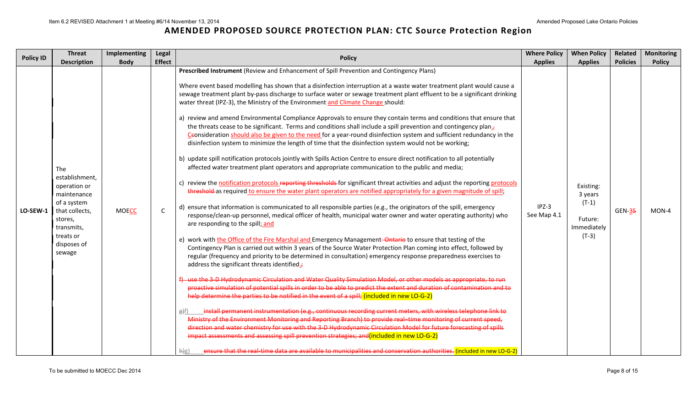| <b>Policy ID</b> | <b>Threat</b><br><b>Description</b>                                                                                                                  | Implementing<br><b>Body</b> | Legal<br><b>Effect</b> | <b>Policy</b>                                                                                                                                                                                                                                                                                                                                                                                                                                                                                                                                                                                                                                                                                                                                                                                                                                                                                                                                                                                                                                                                                                                                                                                                                                                                                                                                                                                                                                                                                                                                                                                                                                                                                                                                                                                                                                                                                                                                                                                                                                                                                                                                                                                                                                                                                                                                                                                                                                                                                                                                                                                                                                                                                                                                                                                                                                                                                                                                                                                                                                     | <b>Where Policy</b><br><b>Applies</b> | <b>When Policy</b><br><b>Applies</b>                                 | Related<br><b>Policies</b> | <b>Monitoring</b><br><b>Policy</b> |
|------------------|------------------------------------------------------------------------------------------------------------------------------------------------------|-----------------------------|------------------------|---------------------------------------------------------------------------------------------------------------------------------------------------------------------------------------------------------------------------------------------------------------------------------------------------------------------------------------------------------------------------------------------------------------------------------------------------------------------------------------------------------------------------------------------------------------------------------------------------------------------------------------------------------------------------------------------------------------------------------------------------------------------------------------------------------------------------------------------------------------------------------------------------------------------------------------------------------------------------------------------------------------------------------------------------------------------------------------------------------------------------------------------------------------------------------------------------------------------------------------------------------------------------------------------------------------------------------------------------------------------------------------------------------------------------------------------------------------------------------------------------------------------------------------------------------------------------------------------------------------------------------------------------------------------------------------------------------------------------------------------------------------------------------------------------------------------------------------------------------------------------------------------------------------------------------------------------------------------------------------------------------------------------------------------------------------------------------------------------------------------------------------------------------------------------------------------------------------------------------------------------------------------------------------------------------------------------------------------------------------------------------------------------------------------------------------------------------------------------------------------------------------------------------------------------------------------------------------------------------------------------------------------------------------------------------------------------------------------------------------------------------------------------------------------------------------------------------------------------------------------------------------------------------------------------------------------------------------------------------------------------------------------------------------------------|---------------------------------------|----------------------------------------------------------------------|----------------------------|------------------------------------|
| LO-SEW-1         | The<br>establishment,<br>operation or<br>maintenance<br>of a system<br>that collects,<br>stores,<br>transmits,<br>treats or<br>disposes of<br>sewage | <b>MOECC</b>                | $\mathsf C$            | Prescribed Instrument (Review and Enhancement of Spill Prevention and Contingency Plans)<br>Where event based modelling has shown that a disinfection interruption at a waste water treatment plant would cause a<br>sewage treatment plant by-pass discharge to surface water or sewage treatment plant effluent to be a significant drinking<br>water threat (IPZ-3), the Ministry of the Environment and Climate Change should:<br>a) review and amend Environmental Compliance Approvals to ensure they contain terms and conditions that ensure that<br>the threats cease to be significant. Terms and conditions shall include a spill prevention and contingency plan. $7$<br>Ceonsideration should also be given to the need for a year-round disinfection system and sufficient redundancy in the<br>disinfection system to minimize the length of time that the disinfection system would not be working;<br>b) update spill notification protocols jointly with Spills Action Centre to ensure direct notification to all potentially<br>affected water treatment plant operators and appropriate communication to the public and media;<br>c) review the notification protocols reporting thresholds for significant threat activities and adjust the reporting protocols<br>threshold-as required to ensure the water plant operators are notified appropriately for a given magnitude of spill;<br>d) ensure that information is communicated to all responsible parties (e.g., the originators of the spill, emergency<br>response/clean-up personnel, medical officer of health, municipal water owner and water operating authority) who<br>are responding to the spill; and<br>e) work with the Office of the Fire Marshal and Emergency Management-Ontario to ensure that testing of the<br>Contingency Plan is carried out within 3 years of the Source Water Protection Plan coming into effect, followed by<br>regular (frequency and priority to be determined in consultation) emergency response preparedness exercises to<br>address the significant threats identified.;<br>f) use the 3-D Hydrodynamic Circulation and Water Quality Simulation Model, or other models as appropriate, to run<br>proactive simulation of potential spills in order to be able to predict the extent and duration of contamination and to<br>help determine the parties to be notified in the event of a spill; (included in new LO-G-2)<br>install permanent instrumentation (e.g., continuous recording current meters, with wireless telephone link to<br>f(x)<br>Ministry of the Environment Monitoring and Reporting Branch) to provide real-time monitoring of current speed,<br>direction and water chemistry for use with the 3-D Hydrodynamic Circulation Model for future forecasting of spills<br>impact assessments and assessing spill prevention strategies; and (included in new LO-G-2)<br>ensure that the real-time data are available to municipalities and conservation authorities. (included in new LO-G-2)<br>Hg | $IPZ-3$<br>See Map 4.1                | Existing:<br>3 years<br>$(T-1)$<br>Future:<br>Immediately<br>$(T-3)$ | <b>GEN-35</b>              | $MON-4$                            |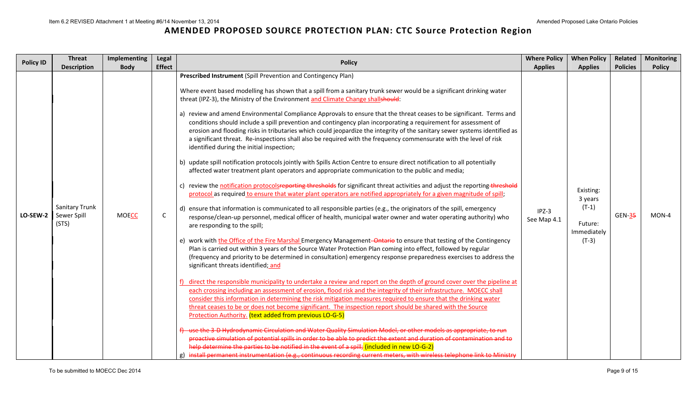| <b>Policy ID</b> | <b>Threat</b><br><b>Description</b>           | Implementing<br><b>Body</b> | Legal<br><b>Effect</b> | <b>Policy</b>                                                                                                                                                                                                                                                                                                                                                                                                                                                                                                                                                                                                                                                                                                                                                                                                                                                                                                                                                                                                                                                                                                                                                                                                                                                                                                                                                                                                                                                                                                                                                                                                                                                                                                                                                                                                                                                                                                                                                                                                                                                                                                                                                                                                                                                                                                                                                                                                                                                                                                                                                                                                                                                                                                                                                                                                                                                                                                                                                                                                             | <b>Where Policy</b><br><b>Applies</b> | <b>When Policy</b><br><b>Applies</b>                                 | Related<br><b>Policies</b> | <b>Monitoring</b><br><b>Policy</b> |
|------------------|-----------------------------------------------|-----------------------------|------------------------|---------------------------------------------------------------------------------------------------------------------------------------------------------------------------------------------------------------------------------------------------------------------------------------------------------------------------------------------------------------------------------------------------------------------------------------------------------------------------------------------------------------------------------------------------------------------------------------------------------------------------------------------------------------------------------------------------------------------------------------------------------------------------------------------------------------------------------------------------------------------------------------------------------------------------------------------------------------------------------------------------------------------------------------------------------------------------------------------------------------------------------------------------------------------------------------------------------------------------------------------------------------------------------------------------------------------------------------------------------------------------------------------------------------------------------------------------------------------------------------------------------------------------------------------------------------------------------------------------------------------------------------------------------------------------------------------------------------------------------------------------------------------------------------------------------------------------------------------------------------------------------------------------------------------------------------------------------------------------------------------------------------------------------------------------------------------------------------------------------------------------------------------------------------------------------------------------------------------------------------------------------------------------------------------------------------------------------------------------------------------------------------------------------------------------------------------------------------------------------------------------------------------------------------------------------------------------------------------------------------------------------------------------------------------------------------------------------------------------------------------------------------------------------------------------------------------------------------------------------------------------------------------------------------------------------------------------------------------------------------------------------------------------|---------------------------------------|----------------------------------------------------------------------|----------------------------|------------------------------------|
| LO-SEW-2         | <b>Sanitary Trunk</b><br>Sewer Spill<br>(STS) | <b>MOECC</b>                | C                      | Prescribed Instrument (Spill Prevention and Contingency Plan)<br>Where event based modelling has shown that a spill from a sanitary trunk sewer would be a significant drinking water<br>threat (IPZ-3), the Ministry of the Environment and Climate Change shallshould:<br>a) review and amend Environmental Compliance Approvals to ensure that the threat ceases to be significant. Terms and<br>conditions should include a spill prevention and contingency plan incorporating a requirement for assessment of<br>erosion and flooding risks in tributaries which could jeopardize the integrity of the sanitary sewer systems identified as<br>a significant threat. Re-inspections shall also be required with the frequency commensurate with the level of risk<br>identified during the initial inspection;<br>b) update spill notification protocols jointly with Spills Action Centre to ensure direct notification to all potentially<br>affected water treatment plant operators and appropriate communication to the public and media;<br>c) review the notification protocolsreporting thresholds for significant threat activities and adjust the reporting threshold<br>protocol as required to ensure that water plant operators are notified appropriately for a given magnitude of spill;<br>d) ensure that information is communicated to all responsible parties (e.g., the originators of the spill, emergency<br>response/clean-up personnel, medical officer of health, municipal water owner and water operating authority) who<br>are responding to the spill;<br>e) work with the Office of the Fire Marshal Emergency Management–Ontario to ensure that testing of the Contingency<br>Plan is carried out within 3 years of the Source Water Protection Plan coming into effect, followed by regular<br>(frequency and priority to be determined in consultation) emergency response preparedness exercises to address the<br>significant threats identified; and<br>f) direct the responsible municipality to undertake a review and report on the depth of ground cover over the pipeline at<br>each crossing including an assessment of erosion, flood risk and the integrity of their infrastructure. MOECC shall<br>consider this information in determining the risk mitigation measures required to ensure that the drinking water<br>threat ceases to be or does not become significant. The inspection report should be shared with the Source<br>Protection Authority. (text added from previous LO-G-5)<br>use the 3-D Hydrodynamic Circulation and Water Quality Simulation Model, or other models as appropriate, to run<br>proactive simulation of potential spills in order to be able to predict the extent and duration of contamination and to<br>help determine the parties to be notified in the event of a spill; (included in new LO-G-2)<br>g) install permanent instrumentation (e.g., continuous recording current meters, with wireless telephone link to Ministry | $IPZ-3$<br>See Map 4.1                | Existing:<br>3 years<br>$(T-1)$<br>Future:<br>Immediately<br>$(T-3)$ | <b>GEN-35</b>              | MON-4                              |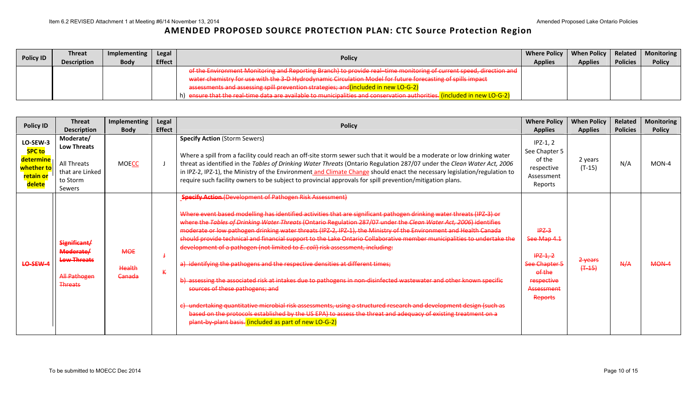| <b>Policy ID</b> | <b>Threat</b>      | Implementing | Legal         | <b>Policy</b>                                                                                                                                                                                                              | Where Policy   When Policy   Related   Monitoring |                |                 |               |
|------------------|--------------------|--------------|---------------|----------------------------------------------------------------------------------------------------------------------------------------------------------------------------------------------------------------------------|---------------------------------------------------|----------------|-----------------|---------------|
|                  | <b>Description</b> | <b>Body</b>  | <b>Effect</b> |                                                                                                                                                                                                                            | <b>Applies</b>                                    | <b>Applies</b> | <b>Policies</b> | <b>Policy</b> |
|                  |                    |              |               | of the Environment Monitoring and Reporting Branch) to provide real-time monitoring of current speed, direction and                                                                                                        |                                                   |                |                 |               |
|                  |                    |              |               | water chamistry for use with the 3-D Hydrodynamic Circulation Model for future forecasting of spills impact<br>water chemistry for use with the 3-D hydrodynamic circulation iwouch for future forecasting or spins impact |                                                   |                |                 |               |
|                  |                    |              |               | assessments and assessing spill prevention strategies; and (included in new LO-G-2)                                                                                                                                        |                                                   |                |                 |               |
|                  |                    |              |               | h) ensure that the real-time data are available to municipalities and conservation authorities. (included in new LO-G-2)                                                                                                   |                                                   |                |                 |               |

| <b>Policy ID</b>                                                            | <b>Threat</b><br><b>Description</b>                                                      | Implementing<br><b>Body</b>               | Legal<br><b>Effect</b> | <b>Policy</b>                                                                                                                                                                                                                                                                                                                                                                                                                                                                                                                                                                                                                                                                                                                                                                                                                                                                                                                                                                                                                                                                                                                                                                                 | <b>Where Policy</b><br><b>Applies</b>                                                                         | <b>When Policy</b><br><b>Applies</b> | Related<br><b>Policies</b> | Monitoring<br><b>Policy</b> |
|-----------------------------------------------------------------------------|------------------------------------------------------------------------------------------|-------------------------------------------|------------------------|-----------------------------------------------------------------------------------------------------------------------------------------------------------------------------------------------------------------------------------------------------------------------------------------------------------------------------------------------------------------------------------------------------------------------------------------------------------------------------------------------------------------------------------------------------------------------------------------------------------------------------------------------------------------------------------------------------------------------------------------------------------------------------------------------------------------------------------------------------------------------------------------------------------------------------------------------------------------------------------------------------------------------------------------------------------------------------------------------------------------------------------------------------------------------------------------------|---------------------------------------------------------------------------------------------------------------|--------------------------------------|----------------------------|-----------------------------|
| LO-SEW-3<br><b>SPC to</b><br>determine<br>whether to<br>retain or<br>delete | Moderate/<br><b>Low Threats</b><br>All Threats<br>that are Linked<br>to Storm<br>Sewers  | <b>MOECC</b>                              |                        | <b>Specify Action (Storm Sewers)</b><br>Where a spill from a facility could reach an off-site storm sewer such that it would be a moderate or low drinking water<br>threat as identified in the Tables of Drinking Water Threats (Ontario Regulation 287/07 under the Clean Water Act, 2006<br>in IPZ-2, IPZ-1), the Ministry of the Environment and Climate Change should enact the necessary legislation/regulation to<br>require such facility owners to be subject to provincial approvals for spill prevention/mitigation plans.                                                                                                                                                                                                                                                                                                                                                                                                                                                                                                                                                                                                                                                         | $IPZ-1, 2$<br>See Chapter 5<br>of the<br>respective<br>Assessment<br>Reports                                  | 2 years<br>$(T-15)$                  | N/A                        | $MON-4$                     |
| LO-SEW-4                                                                    | Significant/<br>Moderate/<br><b>Low Threats</b><br><b>All Pathogen</b><br><b>Threats</b> | <b>MOE</b><br>Health<br><del>Canada</del> | $\mathbf k$            | <b>Specify Action (Development of Pathogen Risk Assessment)</b><br>Where event based modelling has identified activities that are significant pathogen drinking water threats (IPZ-3) or<br>where the Tables of Drinking Water Threats (Ontario Regulation 287/07 under the Clean Water Act, 2006) identifies<br>moderate or low pathogen drinking water threats (IPZ-2, IPZ-1), the Ministry of the Environment and Health Canada<br>should provide technical and financial support to the Lake Ontario Collaborative member municipalities to undertake the<br>development of a pathogen (not limited to E. coli) risk assessment, including:<br>a) identifying the pathogens and the respective densities at different times;<br>b) assessing the associated risk at intakes due to pathogens in non-disinfected wastewater and other known specific<br>sources of these pathogens; and<br>c) undertaking quantitative microbial risk assessments, using a structured research and development design (such as<br>based on the protocols established by the US EPA) to assess the threat and adequacy of existing treatment on a<br>plant-by-plant basis. (included as part of new LO-G-2) | $IPZ-3$<br>See Map 4.1<br>$HPZ-1, 2$<br>See Chapter 5<br>of the<br>respective<br>Assessment<br><b>Reports</b> | 2 years<br>$(+45)$                   | N/A                        | MON-4                       |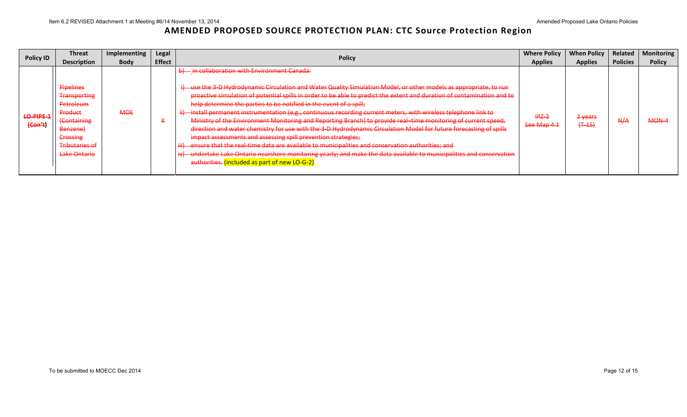| <b>Policy ID</b>            | <b>Threat</b><br><b>Description</b>                                                                                                                        | Implementing<br><b>Body</b> | Legal<br><b>Effect</b> | <b>Policy</b>                                                                                                                                                                                                                                                                                                                                                                                                                                                                                                                                                                                                                                                                                                                                                                                                                                                                                                                                                                                                                                                         | <b>Where Policy</b><br><b>Applies</b> | <b>When Policy</b><br><b>Applies</b> | Related<br><b>Policies</b> | <b>Monitoring</b><br><b>Policy</b> |
|-----------------------------|------------------------------------------------------------------------------------------------------------------------------------------------------------|-----------------------------|------------------------|-----------------------------------------------------------------------------------------------------------------------------------------------------------------------------------------------------------------------------------------------------------------------------------------------------------------------------------------------------------------------------------------------------------------------------------------------------------------------------------------------------------------------------------------------------------------------------------------------------------------------------------------------------------------------------------------------------------------------------------------------------------------------------------------------------------------------------------------------------------------------------------------------------------------------------------------------------------------------------------------------------------------------------------------------------------------------|---------------------------------------|--------------------------------------|----------------------------|------------------------------------|
| <b>LO-PIPE-1</b><br>(Con't) | Pipelines<br><b>Transporting</b><br>Petroleum<br>Product<br><b>(Containing</b><br>Benzene)<br><b>Crossing</b><br><del>Tributaries of</del><br>Lake Ontario | <b>MOE</b>                  | $\mathbf \tau$         | - in collaboration with Environment Canada:<br>use the 3-D Hydrodynamic Circulation and Water Quality Simulation Model, or other models as appropriate, to run<br>proactive simulation of potential spills in order to be able to predict the extent and duration of contamination and to<br>help determine the parties to be notified in the event of a spill;<br>install permanent instrumentation (e.g., continuous recording current meters, with wireless telephone link to<br>Ministry of the Environment Monitoring and Reporting Branch) to provide real-time monitoring of current speed,<br>direction and water chemistry for use with the 3-D Hydrodynamic Circulation Model for future forecasting of spills<br>impact assessments and assessing spill prevention strategies;<br>ensure that the real-time data are available to municipalities and conservation authorities; and<br>-undertake Lake Ontario nearshore monitoring yearly; and make the data available to municipalities and conservation<br>authorities. (included as part of new LO-G-2) | $HPZ-3$<br>See Map 4.1                | $2$ years<br>$(+ -15)$               | N/A                        | <b>MON-4</b>                       |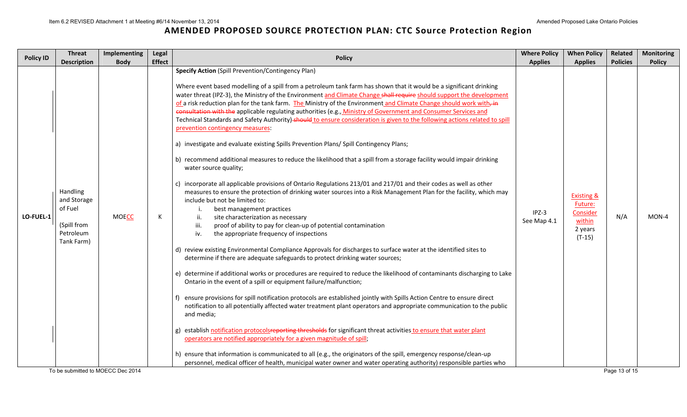| <b>Policy ID</b> | <b>Threat</b>                                                                                      | Implementing                | Legal              | <b>Policy</b>                                                                                                                                                                                                                                                                                                                                                                                                                                                                                                                                                                                                                                                                                                                                                                                                                                                                                                                                                                                                                                                                                                                                                                                                                                                                                                                                                                                                                                                                                                                                                                                                                                                                                                                                                                                                                                                                                                                                                                                                                                                                                                                                                                                                                                                                                                                                                                                                                                                                                                                                                            | <b>Where Policy</b>                      | <b>When Policy</b>                                                                              | Related                | <b>Monitoring</b>      |
|------------------|----------------------------------------------------------------------------------------------------|-----------------------------|--------------------|--------------------------------------------------------------------------------------------------------------------------------------------------------------------------------------------------------------------------------------------------------------------------------------------------------------------------------------------------------------------------------------------------------------------------------------------------------------------------------------------------------------------------------------------------------------------------------------------------------------------------------------------------------------------------------------------------------------------------------------------------------------------------------------------------------------------------------------------------------------------------------------------------------------------------------------------------------------------------------------------------------------------------------------------------------------------------------------------------------------------------------------------------------------------------------------------------------------------------------------------------------------------------------------------------------------------------------------------------------------------------------------------------------------------------------------------------------------------------------------------------------------------------------------------------------------------------------------------------------------------------------------------------------------------------------------------------------------------------------------------------------------------------------------------------------------------------------------------------------------------------------------------------------------------------------------------------------------------------------------------------------------------------------------------------------------------------------------------------------------------------------------------------------------------------------------------------------------------------------------------------------------------------------------------------------------------------------------------------------------------------------------------------------------------------------------------------------------------------------------------------------------------------------------------------------------------------|------------------------------------------|-------------------------------------------------------------------------------------------------|------------------------|------------------------|
| LO-FUEL-1        | <b>Description</b><br>Handling<br>and Storage<br>of Fuel<br>(Spill from<br>Petroleum<br>Tank Farm) | <b>Body</b><br><b>MOECC</b> | <b>Effect</b><br>К | <b>Specify Action (Spill Prevention/Contingency Plan)</b><br>Where event based modelling of a spill from a petroleum tank farm has shown that it would be a significant drinking<br>water threat (IPZ-3), the Ministry of the Environment and Climate Change shall require should support the development<br>of a risk reduction plan for the tank farm. The Ministry of the Environment and Climate Change should work with-in<br>consultation with the applicable regulating authorities (e.g., Ministry of Government and Consumer Services and<br>Technical Standards and Safety Authority)-should to ensure consideration is given to the following actions related to spill<br>prevention contingency measures:<br>a) investigate and evaluate existing Spills Prevention Plans/ Spill Contingency Plans;<br>b) recommend additional measures to reduce the likelihood that a spill from a storage facility would impair drinking<br>water source quality;<br>c) incorporate all applicable provisions of Ontario Regulations 213/01 and 217/01 and their codes as well as other<br>measures to ensure the protection of drinking water sources into a Risk Management Plan for the facility, which may<br>include but not be limited to:<br>best management practices<br>ii.<br>site characterization as necessary<br>iii.<br>proof of ability to pay for clean-up of potential contamination<br>iv.<br>the appropriate frequency of inspections<br>d) review existing Environmental Compliance Approvals for discharges to surface water at the identified sites to<br>determine if there are adequate safeguards to protect drinking water sources;<br>e) determine if additional works or procedures are required to reduce the likelihood of contaminants discharging to Lake<br>Ontario in the event of a spill or equipment failure/malfunction;<br>ensure provisions for spill notification protocols are established jointly with Spills Action Centre to ensure direct<br>notification to all potentially affected water treatment plant operators and appropriate communication to the public<br>and media;<br>g) establish notification protocolsreporting thresholds for significant threat activities to ensure that water plant<br>operators are notified appropriately for a given magnitude of spill;<br>h) ensure that information is communicated to all (e.g., the originators of the spill, emergency response/clean-up<br>personnel, medical officer of health, municipal water owner and water operating authority) responsible parties who | <b>Applies</b><br>$IPZ-3$<br>See Map 4.1 | <b>Applies</b><br><b>Existing &amp;</b><br>Future:<br>Consider<br>within<br>2 years<br>$(T-15)$ | <b>Policies</b><br>N/A | <b>Policy</b><br>MON-4 |
|                  | To be submitted to MOECC Dec 2014                                                                  |                             |                    |                                                                                                                                                                                                                                                                                                                                                                                                                                                                                                                                                                                                                                                                                                                                                                                                                                                                                                                                                                                                                                                                                                                                                                                                                                                                                                                                                                                                                                                                                                                                                                                                                                                                                                                                                                                                                                                                                                                                                                                                                                                                                                                                                                                                                                                                                                                                                                                                                                                                                                                                                                          |                                          |                                                                                                 | Page 13 of 15          |                        |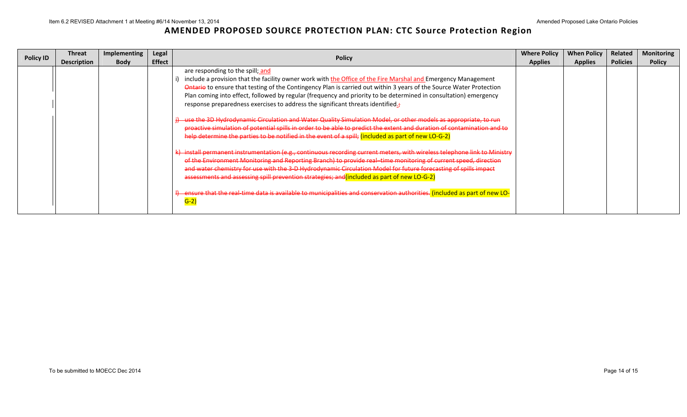| <b>Policy ID</b> | <b>Threat</b><br><b>Description</b> | <b>Implementing</b><br><b>Body</b> | Legal<br><b>Effect</b> | <b>Policy</b>                                                                                                                                                                                                                                                                                                                                                                                                                                                                                                                                                                                                                                                                                                                                                                                                                                                                                                                                                                                                                                                                                                                                                                                                                                                                                                                                                                                                                                   | <b>Where Policy</b><br><b>Applies</b> | <b>When Policy</b><br><b>Applies</b> | <b>Related</b><br><b>Policies</b> | <b>Monitoring</b><br><b>Policy</b> |
|------------------|-------------------------------------|------------------------------------|------------------------|-------------------------------------------------------------------------------------------------------------------------------------------------------------------------------------------------------------------------------------------------------------------------------------------------------------------------------------------------------------------------------------------------------------------------------------------------------------------------------------------------------------------------------------------------------------------------------------------------------------------------------------------------------------------------------------------------------------------------------------------------------------------------------------------------------------------------------------------------------------------------------------------------------------------------------------------------------------------------------------------------------------------------------------------------------------------------------------------------------------------------------------------------------------------------------------------------------------------------------------------------------------------------------------------------------------------------------------------------------------------------------------------------------------------------------------------------|---------------------------------------|--------------------------------------|-----------------------------------|------------------------------------|
|                  |                                     |                                    |                        | are responding to the spill; and<br>include a provision that the facility owner work with the Office of the Fire Marshal and Emergency Management<br>Ontario to ensure that testing of the Contingency Plan is carried out within 3 years of the Source Water Protection<br>Plan coming into effect, followed by regular (frequency and priority to be determined in consultation) emergency<br>response preparedness exercises to address the significant threats identified.<br>i) use the 3D Hydrodynamic Circulation and Water Quality Simulation Model, or other models as appropriate, to run<br>proactive simulation of potential spills in order to be able to predict the extent and duration of contamination and to<br>help determine the parties to be notified in the event of a spill; (included as part of new LO-G-2)<br>k) install permanent instrumentation (e.g., continuous recording current meters, with wireless telephone link to Ministry<br>of the Environment Monitoring and Reporting Branch) to provide real-time monitoring of current speed, direction<br>and water chemistry for use with the 3-D Hydrodynamic Circulation Model for future forecasting of spills impact<br>assessments and assessing spill prevention strategies; and (included as part of new LO-G-2)<br>4) ensure that the real-time data is available to municipalities and conservation authorities. (included as part of new LO-<br>$G-2$ |                                       |                                      |                                   |                                    |